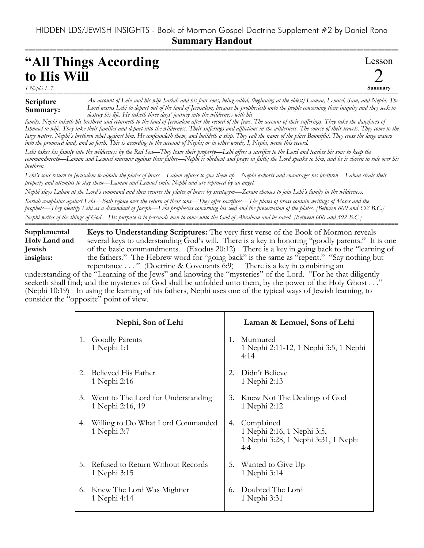===========================================================================================================

## **"All Things According to His Will**

*1 Nephi 1–7*

## **Scripture Summary:**

=========================================================================================================== *An account of Lehi and his wife Sariah and his four sons, being called, (beginning at the eldest) Laman, Lemuel, Sam, and Nephi. The Lord warns Lehi to depart out of the land of Jerusalem, because he prophesieth unto the people concerning their iniquity and they seek to destroy his life. He taketh three days' journey into the wilderness with his*

Lesson

2 **Summary**

*family. Nephi taketh his brethren and returneth to the land of Jerusalem after the record of the Jews. The account of their sufferings. They take the daughters of Ishmael to wife. They take their families and depart into the wilderness. Their sufferings and afflictions in the wilderness. The course of their travels. They come to the large waters. Nephi's brethren rebel against him. He confoundeth them, and buildeth a ship. They call the name of the place Bountiful. They cross the large waters into the promised land, and so forth. This is according to the account of Nephi; or in other words, I, Nephi, wrote this record.*

*Lehi takes his family into the wilderness by the Red Sea—They leave their property—Lehi offers a sacrifice to the Lord and teaches his sons to keep the commandments—Laman and Lemuel murmur against their father—Nephi is obedient and prays in faith; the Lord speaks to him, and he is chosen to rule over his brethren.* 

*Lehi's sons return to Jerusalem to obtain the plates of brass—Laban refuses to give them up—Nephi exhorts and encourages his brethren—Laban steals their property and attempts to slay them—Laman and Lemuel smite Nephi and are reproved by an angel.*

*Nephi slays Laban at the Lord's command and then secures the plates of brass by stratagem—Zoram chooses to join Lehi's family in the wilderness.*

*Sariah complains against Lehi—Both rejoice over the return of their sons—They offer sacrifices—The plates of brass contain writings of Moses and the prophets—They identify Lehi as a descendant of Joseph—Lehi prophesies concerning his seed and the preservation of the plates. [Between 600 and 592 B.C.] Nephi writes of the things of God—His purpose is to persuade men to come unto the God of Abraham and be saved. [Between 600 and 592 B.C.]* ===========================================================================================================

**Keys to Understanding Scriptures:** The very first verse of the Book of Mormon reveals several keys to understanding God's will. There is a key in honoring "goodly parents." It is one of the basic commandments. (Exodus 20:12) There is a key in going back to the "learning of the fathers." The Hebrew word for "going back" is the same as "repent." "Say nothing but repentance . . . " (Doctrine & Covenants 6:9) There is a key in combining an **Supplemental Holy Land and Jewish insights:**

understanding of the "Learning of the Jews" and knowing the "mysteries" of the Lord. "For he that diligently seeketh shall find; and the mysteries of God shall be unfolded unto them, by the power of the Holy Ghost . . ." (Nephi 10:19) In using the learning of his fathers, Nephi uses one of the typical ways of Jewish learning, to consider the "opposite" point of view.

|             | <u>Nephi, Son of Lehi</u>                              |         | Laman & Lemuel, Sons of Lehi                                                              |
|-------------|--------------------------------------------------------|---------|-------------------------------------------------------------------------------------------|
| 1.          | <b>Goodly Parents</b><br>1 Nephi 1:1                   | $1_{-}$ | Murmured<br>1 Nephi 2:11-12, 1 Nephi 3:5, 1 Nephi<br>4:14                                 |
| $2_{\cdot}$ | Believed His Father<br>1 Nephi 2:16                    | 2.      | Didn't Believe<br>1 Nephi 2:13                                                            |
| 3.          | Went to The Lord for Understanding<br>1 Nephi 2:16, 19 | 3.      | Knew Not The Dealings of God<br>1 Nephi 2:12                                              |
| 4.          | Willing to Do What Lord Commanded<br>1 Nephi 3:7       |         | 4. Complained<br>1 Nephi 2:16, 1 Nephi 3:5,<br>1 Nephi 3:28, 1 Nephi 3:31, 1 Nephi<br>4:4 |
| 5.          | Refused to Return Without Records<br>1 Nephi 3:15      | 5.      | Wanted to Give Up<br>1 Nephi 3:14                                                         |
| 6.          | Knew The Lord Was Mightier<br>1 Nephi 4:14             | 6.      | Doubted The Lord<br>1 Nephi 3:31                                                          |